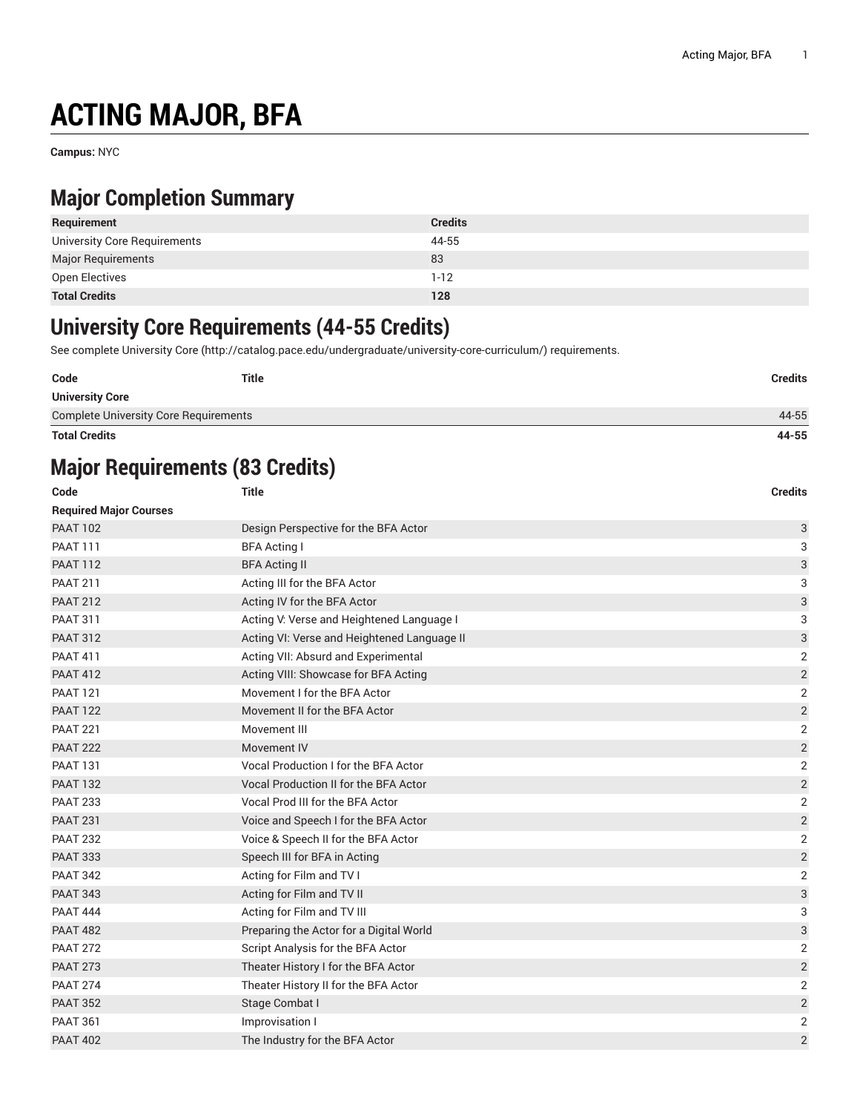# **ACTING MAJOR, BFA**

**Campus:** NYC

### **Major Completion Summary**

| Requirement                  | <b>Credits</b> |
|------------------------------|----------------|
| University Core Requirements | 44-55          |
| <b>Major Requirements</b>    | 83             |
| Open Electives               | $1-12$         |
| <b>Total Credits</b>         | 128            |

#### **University Core Requirements (44-55 Credits)**

See complete [University](http://catalog.pace.edu/undergraduate/university-core-curriculum/) Core (<http://catalog.pace.edu/undergraduate/university-core-curriculum/>) requirements.

| Code                                         | <b>Title</b> | <b>Credits</b> |
|----------------------------------------------|--------------|----------------|
| <b>University Core</b>                       |              |                |
| <b>Complete University Core Requirements</b> |              | 44-55          |

**Total Credits 44-55**

# **Major Requirements (83 Credits)**

| Code                          | <b>Title</b>                                 | <b>Credits</b>            |
|-------------------------------|----------------------------------------------|---------------------------|
| <b>Required Major Courses</b> |                                              |                           |
| <b>PAAT 102</b>               | Design Perspective for the BFA Actor         | 3                         |
| <b>PAAT 111</b>               | <b>BFA Acting I</b>                          | 3                         |
| <b>PAAT 112</b>               | <b>BFA Acting II</b>                         | 3                         |
| <b>PAAT 211</b>               | Acting III for the BFA Actor                 | 3                         |
| <b>PAAT 212</b>               | Acting IV for the BFA Actor                  | 3                         |
| <b>PAAT 311</b>               | Acting V: Verse and Heightened Language I    | 3                         |
| <b>PAAT 312</b>               | Acting VI: Verse and Heightened Language II  | $\ensuremath{\mathsf{3}}$ |
| <b>PAAT 411</b>               | Acting VII: Absurd and Experimental          | 2                         |
| <b>PAAT 412</b>               | Acting VIII: Showcase for BFA Acting         | $\sqrt{2}$                |
| <b>PAAT 121</b>               | Movement I for the BFA Actor                 | $\overline{2}$            |
| <b>PAAT 122</b>               | Movement II for the BFA Actor                | $\sqrt{2}$                |
| <b>PAAT 221</b>               | Movement III                                 | $\overline{2}$            |
| <b>PAAT 222</b>               | Movement IV                                  | $\sqrt{2}$                |
| <b>PAAT 131</b>               | <b>Vocal Production I for the BFA Actor</b>  | $\overline{2}$            |
| <b>PAAT 132</b>               | <b>Vocal Production II for the BFA Actor</b> | $\sqrt{2}$                |
| <b>PAAT 233</b>               | Vocal Prod III for the BFA Actor             | $\overline{2}$            |
| <b>PAAT 231</b>               | Voice and Speech I for the BFA Actor         | $\sqrt{2}$                |
| <b>PAAT 232</b>               | Voice & Speech II for the BFA Actor          | $\overline{2}$            |
| <b>PAAT 333</b>               | Speech III for BFA in Acting                 | $\sqrt{2}$                |
| <b>PAAT 342</b>               | Acting for Film and TV I                     | $\sqrt{2}$                |
| <b>PAAT 343</b>               | Acting for Film and TV II                    | 3                         |
| <b>PAAT 444</b>               | Acting for Film and TV III                   | 3                         |
| <b>PAAT 482</b>               | Preparing the Actor for a Digital World      | 3                         |
| <b>PAAT 272</b>               | Script Analysis for the BFA Actor            | 2                         |
| <b>PAAT 273</b>               | Theater History I for the BFA Actor          | $\sqrt{2}$                |
| <b>PAAT 274</b>               | Theater History II for the BFA Actor         | $\overline{2}$            |
| <b>PAAT 352</b>               | Stage Combat I                               | $\overline{2}$            |
| <b>PAAT 361</b>               | Improvisation I                              | $\overline{2}$            |
| <b>PAAT 402</b>               | The Industry for the BFA Actor               | $\overline{2}$            |